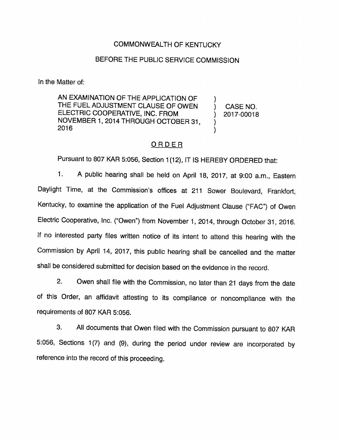## COMMONWEALTH OF KENTUCKY

## BEFORE THE PUBLIC SERVICE COMMISSION

In the Matter of:

AN EXAMINATION OF THE APPLICATION OF AN EXAMINATION OF THE APPLICATION OF  $\qquad$  ) CASE NO. ELECTRIC COOPERATIVE, INC. FROM (2017-00018) NOVEMBER 1, 2014 THROUGH OCTOBER 31,  $\mathcal{L}$ 2016

### ORDER

Pursuant to 807 KAR 5:056, Section 1(12), IT IS HEREBY ORDERED that:

1. A public hearing shall be held on April 18, 2017, at 9:00 a.m.. Eastern Daylight Time, at the Commission's offices at 211 Sower Boulevard, Frankfort, Kentucky, to examine the application of the Fuel Adjustment Clause ("FAC") of Owen Electric Cooperative, Inc. ("Owen") from November 1, 2014, through October 31, 2016. If no interested party files written notice of its intent to attend this hearing with the Commission by April 14, 2017, this public hearing shall be cancelled and the matter shall be considered submitted for decision based on the evidence in the record.

2. Owen shall file with the Commission, no later than 21 days from the date of this Order, an affidavit attesting to its compliance or noncompliance with the requirements of 807 KAR 5:056.

3. All documents that Owen filed with the Commission pursuant to 807 KAR 5:056, Sections 1(7) and (9), during the period under review are incorporated by reference into the record of this proceeding.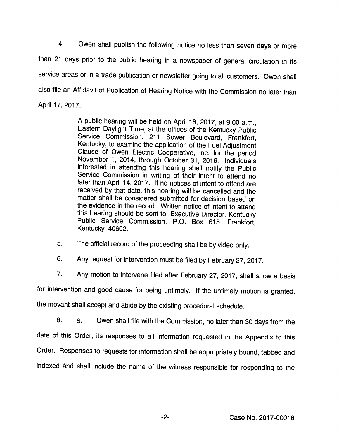4. Owen shall publish the following notice no less than seven days or more than 21 days prior to the public hearing in a newspaper of general circulation in its service areas or in a trade publication or newsletter going to all customers. Owen shall also file an Affidavit of Publication of Hearing Notice with the Commission no later than April 17, 2017.

> A public hearing will be held on April 18, 2017, at 9:00 a.m., Eastem Daylight Time, at the offices of the Kentucky Public Service Commission, 211 Sower Boulevard, Frankfort, Kentucky, to examine the application of the Fuel Adjustment Clause of Owen Electric Cooperative, Inc. for the period November 1, 2014, through October 31, 2016. Individuals interested in attending this hearing shall notify the Public Service Commission in writing of their intent to attend no later than April 14, 2017. If no notices of intent to attend are received by that date, this hearing will be cancelled and the matter shall be considered submitted for decision based on the evidence in the record. Written notice of intent to attend this hearing should be sent to: Executive Director, Kentucky Public Service Commission, P.O. Box 615, Frankfort, Kentucky 40602.

5. The official record of the proceeding shall be by video only.

6. Any request for intervention must be filed by February 27, 2017.

7. Any motion to intervene filed after February 27, 2017, shall show a basis

for intervention and good cause for being untimely. If the untimely motion is granted,

the movant shall accept and abide by the existing procedural schedule.

8. a. Owen shall file with the Commission, no later than 30 days from the date of this Order, its responses to all information requested in the Appendix to this Order. Responses to requests for information shall be appropriately bound, tabbed and indexed and shall include the name of the witness responsible for responding to the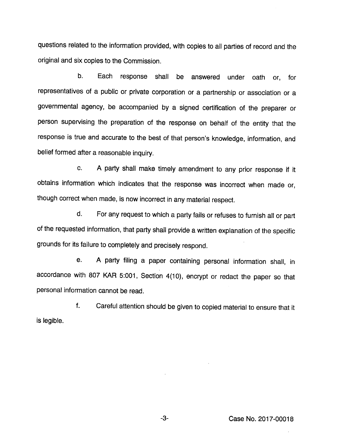questions related to the information provided, with copies to all parties of record and the original and six copies to the Commission.

b. Each response shall be answered under oath or, for representatives of a public or private corporation or a partnership or association or a governmental agency, be accompanied by a signed certification of the preparer or person supervising the preparation of the response on behalf of the entity that the response is true and accurate to the best of that person's knowledge, information, and belief formed after a reasonable inquiry.

c. A party shall make timely amendment to any prior response if it obtains information which indicates that the response was incorrect when made or, though correct when made, is now incorrect in any material respect.

d. For any request to which a party fails or refuses to furnish all or part of the requested information, that party shall provide a written explanation of the specific grounds for its failure to completely and precisely respond.

e. A party filing a paper containing personal information shall, in accordance with 807 KAR 5:001, Section 4(10), encrypt or redact the paper so that personal information cannot be read.

f. Careful attention should be given to copied material to ensure that it is legible.

 $-3-$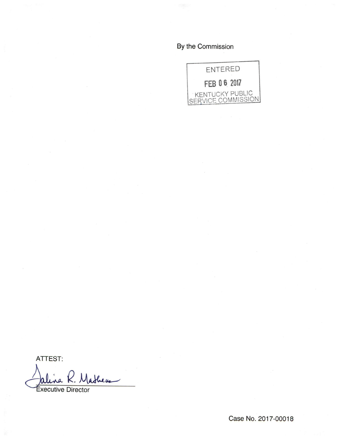By the Commission



ATTEST:

Shens а

Executive Director

Case No. 2017-00018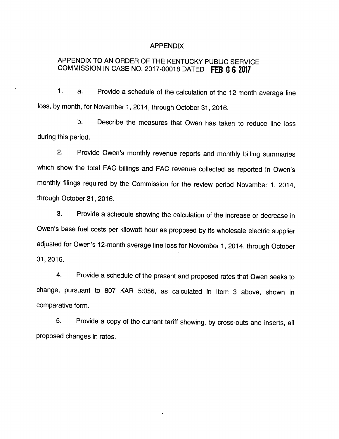#### APPENDIX

# APPENDIX TO AN ORDER OF THE KENTUCKY PUBLIC SERVICE COMMISSION IN CASE NO. 2017-00018 DATED FEB 0 6 2017

1. a. Provide a schedule of the calculation of the 12-month average line loss, by month, for November 1, 2014, through October 31, 2016.

b. Describe the measures that Owen has taken to reduce line loss during this period.

2. Provide Owen's monthly revenue reports and monthly billing summaries which show the total FAC billings and FAC revenue collected as reported in Owen's monthly filings required by the Commission for the review period November 1, 2014, through October 31, 2016.

3. Provide a schedule showing the calculation of the increase or decrease in Owen's base fuel costs per kilowatt hour as proposed by its wholesale electric supplier adjusted for Owen's 12-month average line loss for November 1, 2014, through October 31, 2016.

4. Provide a schedule of the present and proposed rates that Owen seeks to change, pursuant to 807 KAR 5:056, as calculated in Item 3 above, shown in comparative form.

5. Provide a copy of the current tariff showing, by cross-outs and inserts, all proposed changes in rates.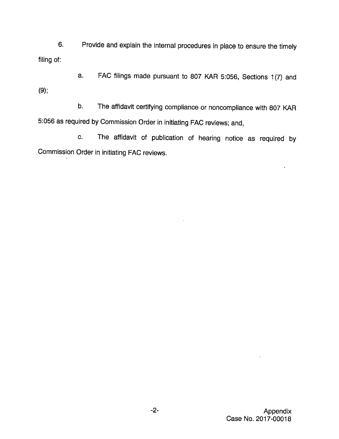6. Provide and explain the internal procedures in place to ensure the timely filing of:

a. FAC filings made pursuant to 807 KAR 5:056, Sections 1(7) and (9);

b. The affidavit certifying compliance or noncompiiance with 807 KAR 5:056 as required by Commission Order in initiating FAC reviews; and,

c. The affidavit of publication of hearing notice as required by Commission Order in initiating FAC reviews.

 $\epsilon$